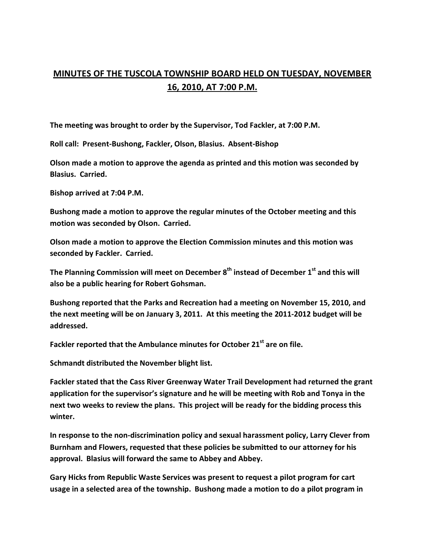## **MINUTES OF THE TUSCOLA TOWNSHIP BOARD HELD ON TUESDAY, NOVEMBER 16, 2010, AT 7:00 P.M.**

**The meeting was brought to order by the Supervisor, Tod Fackler, at 7:00 P.M.** 

**Roll call: Present-Bushong, Fackler, Olson, Blasius. Absent-Bishop** 

**Olson made a motion to approve the agenda as printed and this motion was seconded by Blasius. Carried.** 

**Bishop arrived at 7:04 P.M.** 

**Bushong made a motion to approve the regular minutes of the October meeting and this motion was seconded by Olson. Carried.** 

**Olson made a motion to approve the Election Commission minutes and this motion was seconded by Fackler. Carried.** 

**The Planning Commission will meet on December 8th instead of December 1st and this will also be a public hearing for Robert Gohsman.** 

**Bushong reported that the Parks and Recreation had a meeting on November 15, 2010, and the next meeting will be on January 3, 2011. At this meeting the 2011-2012 budget will be addressed.** 

**Fackler reported that the Ambulance minutes for October 21st are on file.** 

**Schmandt distributed the November blight list.** 

**Fackler stated that the Cass River Greenway Water Trail Development had returned the grant application for the supervisor's signature and he will be meeting with Rob and Tonya in the next two weeks to review the plans. This project will be ready for the bidding process this winter.** 

**In response to the non-discrimination policy and sexual harassment policy, Larry Clever from Burnham and Flowers, requested that these policies be submitted to our attorney for his approval. Blasius will forward the same to Abbey and Abbey.** 

**Gary Hicks from Republic Waste Services was present to request a pilot program for cart usage in a selected area of the township. Bushong made a motion to do a pilot program in**